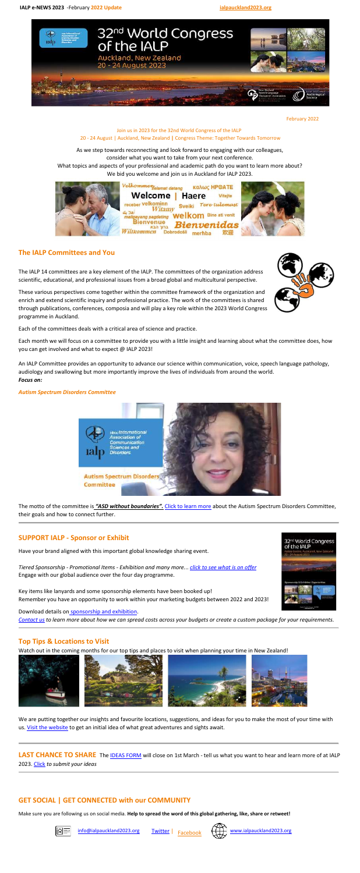

February 2022

### Join us in 2023 for the 32nd World Congress of the IALP 20 - 24 August | Auckland, New Zealand **|** Congress Theme: Together Towards Tomorrow

As we step towards reconnecting and look forward to engaging with our colleagues, consider what you want to take from your next conference.

What topics and aspects of your professional and academic path do you want to learn more about? We bid you welcome and join us in Auckland for IALP 2023.



## **The IALP Committees and You**

The IALP 14 committees are a key element of the IALP. The committees of the organization address scientific, educational, and professional issues from a broad global and multicultural perspective.

These various perspectives come together within the committee framework of the organization and enrich and extend scientific inquiry and professional practice. The work of the committees is shared through publications, conferences, composia and will play a key role within the 2023 World Congress programme in Auckland.

Each of the committees deals with a critical area of science and practice.

Each month we will focus on a committee to provide you with a little insight and learning about what the committee does, how you can get involved and what to expect @ IALP 2023!

We are putting together our insights and favourite locations, suggestions, and ideas for you to make the most of your time with us. Visit the [website](http://ialpauckland2023.org/) to get an initial idea of what great adventures and sights await.

An IALP Committee provides an opportunity to advance our science within communication, voice, speech language pathology, audiology and swallowing but more importantly improve the lives of individuals from around the world. *Focus on:*

#### *Autism Spectrum Disorders Committee*





The motto of the committee is *"ASD without boundaries".* Click to learn [more](http://ialpauckland2023.org/preliminary-programme/ialp-committees-and-you/) about the Autism Spectrum Disorders Committee, their goals and how to connect further.

### **SUPPORT IALP - Sponsor or Exhibit**

Have your brand aligned with this important global knowledge sharing event.

*Tiered Sponsorship - Promotional Items - Exhibition and many more.*.. *click to see [what](http://ialpauckland2023.org/exhibitor-or-sponsor/) is on offer* Engage with our global audience over the four day programme.

Key items like lanyards and some sponsorship elements have been booked up! Remember you have an opportunity to work within your marketing budgets between 2022 and 2023!

Download details on [sponsorship](http://ialpauckland2023.org/exhibitor-or-sponsor/) and exhibition.

*[Contact](mailto:expo@ialpauckland2023.org) us to learn more about how we can spread costs across your budgets or create a custom package for your requirements.*

## **Top Tips & Locations to Visit**

Watch out in the coming months for our top tips and places to visit when planning your time in New Zealand!

**LAST CHANCE TO SHARE** The IDEAS [FORM](https://docs.google.com/forms/d/e/1FAIpQLSc_U-AENQejv059U1xjLjZGMrYPcHklPc8qhB3eshX6t7UAug/viewform) will close on 1st March - tell us what you want to hear and learn more of at IALP 2023. [Click](https://na.eventscloud.com/emarketing/go.php?id=q17JiaoFVIL9nyTOfi8NdVbdq5AL1su6%2FDbhEOOK161h1rI8ft4O75FaN3JtJp19tCi%2FIColJyAtvt73t%2F5wgpSygsChuOZBgiLddLHlaKU8a6haxFy3nKSvFMeFFSSQFSdVHKQi3lq86zU8QzguZAO0JdV2sqhTIjhQh%2FJqkIos3eSGHpg5jxLDMCC%2Fdtu2hR1%2F2RHbNz%2FZFVhF99Lc3w%3D%3D) *to submit your ideas*

# **GET SOCIAL | GET CONNECTED with our COMMUNITY**

Make sure you are following us on social media. **Help to spread the word of this global gathering, like, share or retweet!**



[info@ialpauckland2023.org](mailto:info@ialpauckland2023.org)



[www.ialpauckland2023.org](http://ialpauckland2023.org/)